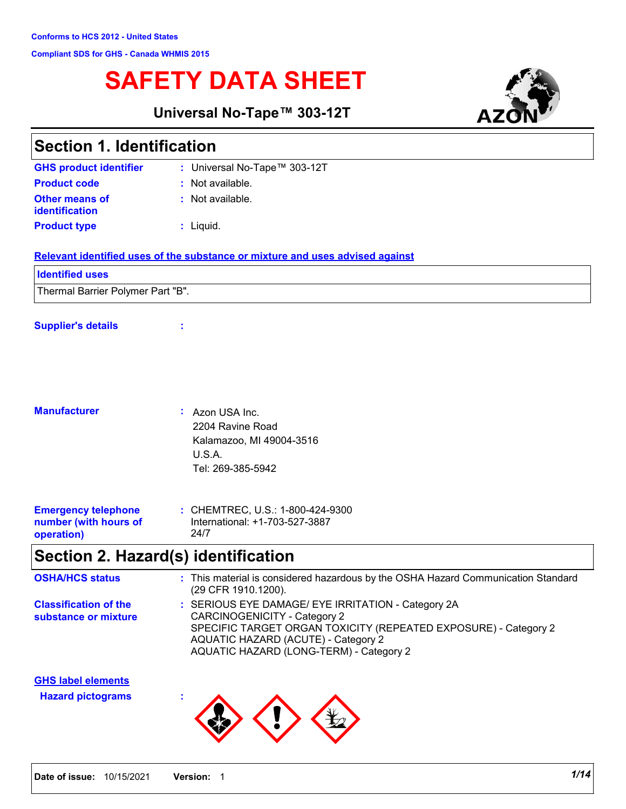# **SAFETY DATA SHEET**

**Universal No-Tape™ 303-12T**



|                                                                   | ┄                                                                                                                                                                                                                                              |
|-------------------------------------------------------------------|------------------------------------------------------------------------------------------------------------------------------------------------------------------------------------------------------------------------------------------------|
| <b>Section 1. Identification</b>                                  |                                                                                                                                                                                                                                                |
| <b>GHS product identifier</b>                                     | : Universal No-Tape™ 303-12T                                                                                                                                                                                                                   |
| <b>Product code</b>                                               | : Not available.                                                                                                                                                                                                                               |
| <b>Other means of</b><br>identification                           | : Not available.                                                                                                                                                                                                                               |
| <b>Product type</b>                                               | $:$ Liquid.                                                                                                                                                                                                                                    |
|                                                                   | Relevant identified uses of the substance or mixture and uses advised against                                                                                                                                                                  |
| <b>Identified uses</b>                                            |                                                                                                                                                                                                                                                |
| Thermal Barrier Polymer Part "B".                                 |                                                                                                                                                                                                                                                |
| <b>Supplier's details</b>                                         |                                                                                                                                                                                                                                                |
|                                                                   |                                                                                                                                                                                                                                                |
| <b>Manufacturer</b>                                               | : Azon USA Inc.<br>2204 Ravine Road<br>Kalamazoo, MI 49004-3516<br>U.S.A.<br>Tel: 269-385-5942                                                                                                                                                 |
| <b>Emergency telephone</b><br>number (with hours of<br>operation) | : CHEMTREC, U.S.: 1-800-424-9300<br>International: +1-703-527-3887<br>24/7                                                                                                                                                                     |
|                                                                   | Section 2. Hazard(s) identification                                                                                                                                                                                                            |
| <b>OSHA/HCS status</b>                                            | : This material is considered hazardous by the OSHA Hazard Communication Standard<br>(29 CFR 1910.1200).                                                                                                                                       |
| <b>Classification of the</b><br>substance or mixture              | : SERIOUS EYE DAMAGE/ EYE IRRITATION - Category 2A<br><b>CARCINOGENICITY - Category 2</b><br>SPECIFIC TARGET ORGAN TOXICITY (REPEATED EXPOSURE) - Category 2<br>AQUATIC HAZARD (ACUTE) - Category 2<br>AQUATIC HAZARD (LONG-TERM) - Category 2 |
| <b>GHS label elements</b>                                         |                                                                                                                                                                                                                                                |

**Hazard pictograms :**

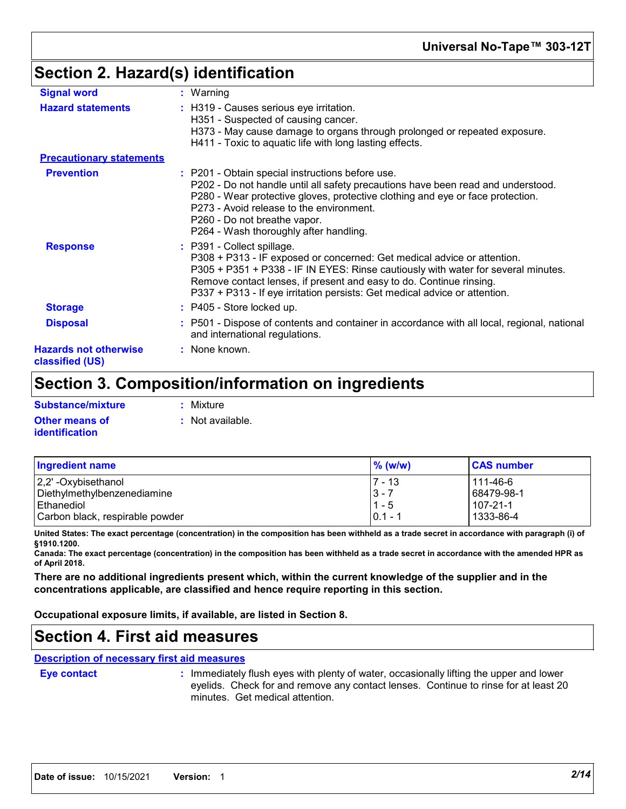## **Section 2. Hazard(s) identification**

| <b>Signal word</b>                              | $:$ Warning                                                                                                                                                                                                                                                                                                                                     |
|-------------------------------------------------|-------------------------------------------------------------------------------------------------------------------------------------------------------------------------------------------------------------------------------------------------------------------------------------------------------------------------------------------------|
| <b>Hazard statements</b>                        | : H319 - Causes serious eye irritation.<br>H351 - Suspected of causing cancer.<br>H373 - May cause damage to organs through prolonged or repeated exposure.<br>H411 - Toxic to aquatic life with long lasting effects.                                                                                                                          |
| <b>Precautionary statements</b>                 |                                                                                                                                                                                                                                                                                                                                                 |
| <b>Prevention</b>                               | : P201 - Obtain special instructions before use.<br>P202 - Do not handle until all safety precautions have been read and understood.<br>P280 - Wear protective gloves, protective clothing and eye or face protection.<br>P273 - Avoid release to the environment.<br>P260 - Do not breathe vapor.<br>P264 - Wash thoroughly after handling.    |
| <b>Response</b>                                 | : P391 - Collect spillage.<br>P308 + P313 - IF exposed or concerned: Get medical advice or attention.<br>P305 + P351 + P338 - IF IN EYES: Rinse cautiously with water for several minutes.<br>Remove contact lenses, if present and easy to do. Continue rinsing.<br>P337 + P313 - If eye irritation persists: Get medical advice or attention. |
| <b>Storage</b>                                  | : P405 - Store locked up.                                                                                                                                                                                                                                                                                                                       |
| <b>Disposal</b>                                 | : P501 - Dispose of contents and container in accordance with all local, regional, national<br>and international regulations.                                                                                                                                                                                                                   |
| <b>Hazards not otherwise</b><br>classified (US) | : None known.                                                                                                                                                                                                                                                                                                                                   |

## **Section 3. Composition/information on ingredients**

| Substance/mixture     | : Mixture          |
|-----------------------|--------------------|
| <b>Other means of</b> | $:$ Not available. |
| <i>identification</i> |                    |

| <b>Ingredient name</b>          | $%$ (w/w)  | <b>CAS number</b> |
|---------------------------------|------------|-------------------|
| 2,2' -Oxybisethanol             | $7 - 13$   | 111-46-6          |
| Diethylmethylbenzenediamine     | $ 3 - 7 $  | 68479-98-1        |
| l Ethanediol                    | $1 - 5$    | $107 - 21 - 1$    |
| Carbon black, respirable powder | $10.1 - 1$ | 1333-86-4         |

**United States: The exact percentage (concentration) in the composition has been withheld as a trade secret in accordance with paragraph (i) of §1910.1200.**

**Canada: The exact percentage (concentration) in the composition has been withheld as a trade secret in accordance with the amended HPR as of April 2018.**

**There are no additional ingredients present which, within the current knowledge of the supplier and in the concentrations applicable, are classified and hence require reporting in this section.**

**Occupational exposure limits, if available, are listed in Section 8.**

## **Section 4. First aid measures**

**Description of necessary first aid measures**

**Eye contact :**

: Immediately flush eyes with plenty of water, occasionally lifting the upper and lower eyelids. Check for and remove any contact lenses. Continue to rinse for at least 20 minutes. Get medical attention.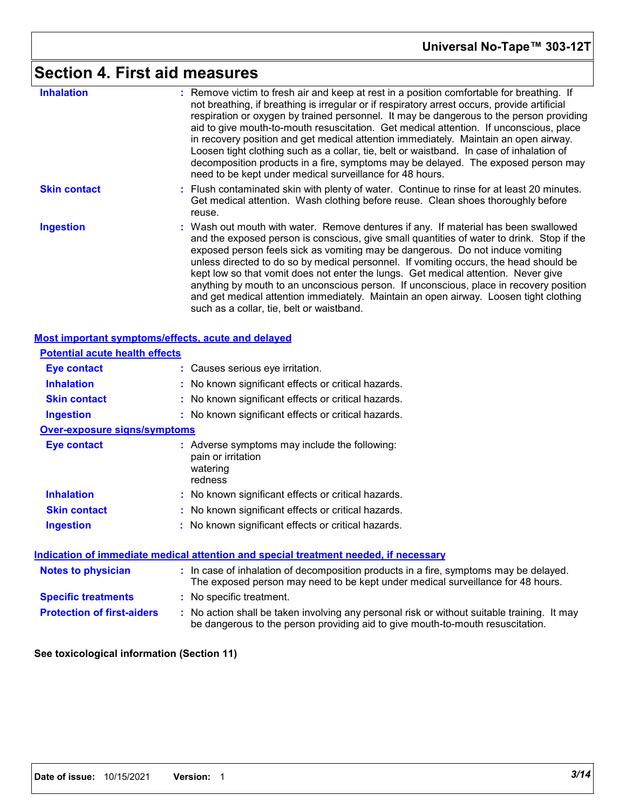## **Section 4. First aid measures**

| <b>Inhalation</b><br><b>Skin contact</b>           | : Remove victim to fresh air and keep at rest in a position comfortable for breathing. If<br>not breathing, if breathing is irregular or if respiratory arrest occurs, provide artificial<br>respiration or oxygen by trained personnel. It may be dangerous to the person providing<br>aid to give mouth-to-mouth resuscitation. Get medical attention. If unconscious, place<br>in recovery position and get medical attention immediately. Maintain an open airway.<br>Loosen tight clothing such as a collar, tie, belt or waistband. In case of inhalation of<br>decomposition products in a fire, symptoms may be delayed. The exposed person may<br>need to be kept under medical surveillance for 48 hours.<br>: Flush contaminated skin with plenty of water. Continue to rinse for at least 20 minutes. |
|----------------------------------------------------|-------------------------------------------------------------------------------------------------------------------------------------------------------------------------------------------------------------------------------------------------------------------------------------------------------------------------------------------------------------------------------------------------------------------------------------------------------------------------------------------------------------------------------------------------------------------------------------------------------------------------------------------------------------------------------------------------------------------------------------------------------------------------------------------------------------------|
|                                                    | Get medical attention. Wash clothing before reuse. Clean shoes thoroughly before<br>reuse.                                                                                                                                                                                                                                                                                                                                                                                                                                                                                                                                                                                                                                                                                                                        |
| <b>Ingestion</b>                                   | : Wash out mouth with water. Remove dentures if any. If material has been swallowed<br>and the exposed person is conscious, give small quantities of water to drink. Stop if the<br>exposed person feels sick as vomiting may be dangerous. Do not induce vomiting<br>unless directed to do so by medical personnel. If vomiting occurs, the head should be<br>kept low so that vomit does not enter the lungs. Get medical attention. Never give<br>anything by mouth to an unconscious person. If unconscious, place in recovery position<br>and get medical attention immediately. Maintain an open airway. Loosen tight clothing<br>such as a collar, tie, belt or waistband.                                                                                                                                 |
| Most important symptoms/effects, acute and delayed |                                                                                                                                                                                                                                                                                                                                                                                                                                                                                                                                                                                                                                                                                                                                                                                                                   |
| <b>Potential acute health effects</b>              |                                                                                                                                                                                                                                                                                                                                                                                                                                                                                                                                                                                                                                                                                                                                                                                                                   |
| <b>Eye contact</b>                                 | : Causes serious eye irritation.                                                                                                                                                                                                                                                                                                                                                                                                                                                                                                                                                                                                                                                                                                                                                                                  |
| <b>Inhalation</b>                                  | : No known significant effects or critical hazards.                                                                                                                                                                                                                                                                                                                                                                                                                                                                                                                                                                                                                                                                                                                                                               |
| <b>Skin contact</b>                                | : No known significant effects or critical hazards.                                                                                                                                                                                                                                                                                                                                                                                                                                                                                                                                                                                                                                                                                                                                                               |
| <b>Ingestion</b>                                   | : No known significant effects or critical hazards.                                                                                                                                                                                                                                                                                                                                                                                                                                                                                                                                                                                                                                                                                                                                                               |
| <b>Over-exposure signs/symptoms</b>                |                                                                                                                                                                                                                                                                                                                                                                                                                                                                                                                                                                                                                                                                                                                                                                                                                   |
| <b>Eye contact</b>                                 | : Adverse symptoms may include the following:<br>pain or irritation<br>watering<br>redness                                                                                                                                                                                                                                                                                                                                                                                                                                                                                                                                                                                                                                                                                                                        |
| <b>Inhalation</b>                                  | : No known significant effects or critical hazards.                                                                                                                                                                                                                                                                                                                                                                                                                                                                                                                                                                                                                                                                                                                                                               |
| <b>Skin contact</b>                                | : No known significant effects or critical hazards.                                                                                                                                                                                                                                                                                                                                                                                                                                                                                                                                                                                                                                                                                                                                                               |
| <b>Ingestion</b>                                   | : No known significant effects or critical hazards.                                                                                                                                                                                                                                                                                                                                                                                                                                                                                                                                                                                                                                                                                                                                                               |
|                                                    | <u>Indication of immediate medical attention and special treatment needed, if necessary</u>                                                                                                                                                                                                                                                                                                                                                                                                                                                                                                                                                                                                                                                                                                                       |
| <b>Notes to physician</b>                          | : In case of inhalation of decomposition products in a fire, symptoms may be delayed.<br>The exposed person may need to be kept under medical surveillance for 48 hours.                                                                                                                                                                                                                                                                                                                                                                                                                                                                                                                                                                                                                                          |
| <b>Specific treatments</b>                         | : No specific treatment.                                                                                                                                                                                                                                                                                                                                                                                                                                                                                                                                                                                                                                                                                                                                                                                          |
| <b>Protection of first-aiders</b>                  | : No action shall be taken involving any personal risk or without suitable training. It may                                                                                                                                                                                                                                                                                                                                                                                                                                                                                                                                                                                                                                                                                                                       |

be dangerous to the person providing aid to give mouth-to-mouth resuscitation.

#### **See toxicological information (Section 11)**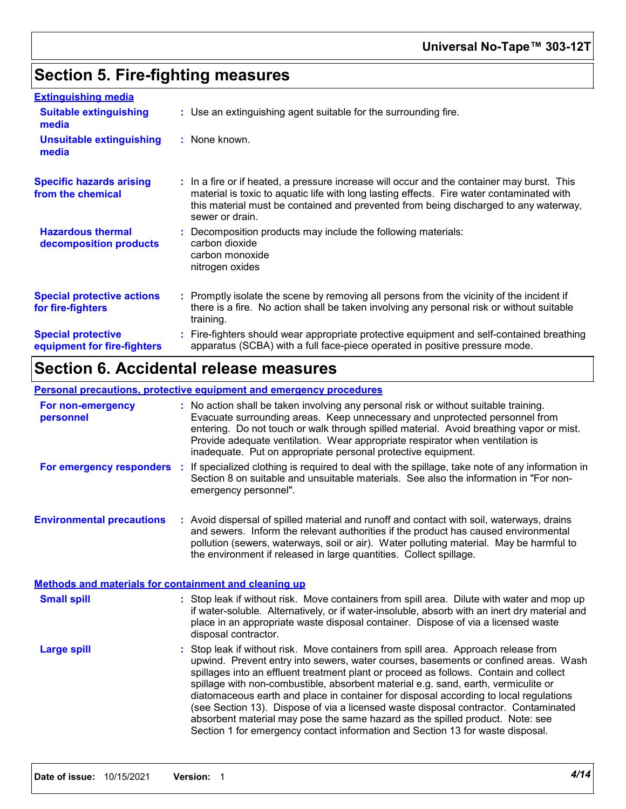## **Section 5. Fire-fighting measures**

| <b>Extinguishing media</b>                               |                                                                                                                                                                                                                                                                                                    |
|----------------------------------------------------------|----------------------------------------------------------------------------------------------------------------------------------------------------------------------------------------------------------------------------------------------------------------------------------------------------|
| <b>Suitable extinguishing</b><br>media                   | : Use an extinguishing agent suitable for the surrounding fire.                                                                                                                                                                                                                                    |
| <b>Unsuitable extinguishing</b><br>media                 | : None known.                                                                                                                                                                                                                                                                                      |
| <b>Specific hazards arising</b><br>from the chemical     | : In a fire or if heated, a pressure increase will occur and the container may burst. This<br>material is toxic to aquatic life with long lasting effects. Fire water contaminated with<br>this material must be contained and prevented from being discharged to any waterway,<br>sewer or drain. |
| <b>Hazardous thermal</b><br>decomposition products       | Decomposition products may include the following materials:<br>carbon dioxide<br>carbon monoxide<br>nitrogen oxides                                                                                                                                                                                |
| <b>Special protective actions</b><br>for fire-fighters   | Promptly isolate the scene by removing all persons from the vicinity of the incident if<br>there is a fire. No action shall be taken involving any personal risk or without suitable<br>training.                                                                                                  |
| <b>Special protective</b><br>equipment for fire-fighters | Fire-fighters should wear appropriate protective equipment and self-contained breathing<br>apparatus (SCBA) with a full face-piece operated in positive pressure mode.                                                                                                                             |

## **Section 6. Accidental release measures**

## **Personal precautions, protective equipment and emergency procedures**

| For non-emergency<br>personnel                        |  | : No action shall be taken involving any personal risk or without suitable training.<br>Evacuate surrounding areas. Keep unnecessary and unprotected personnel from<br>entering. Do not touch or walk through spilled material. Avoid breathing vapor or mist.<br>Provide adequate ventilation. Wear appropriate respirator when ventilation is<br>inadequate. Put on appropriate personal protective equipment.                                                                                                                                                                                                                                                                                           |  |
|-------------------------------------------------------|--|------------------------------------------------------------------------------------------------------------------------------------------------------------------------------------------------------------------------------------------------------------------------------------------------------------------------------------------------------------------------------------------------------------------------------------------------------------------------------------------------------------------------------------------------------------------------------------------------------------------------------------------------------------------------------------------------------------|--|
| For emergency responders :                            |  | If specialized clothing is required to deal with the spillage, take note of any information in<br>Section 8 on suitable and unsuitable materials. See also the information in "For non-<br>emergency personnel".                                                                                                                                                                                                                                                                                                                                                                                                                                                                                           |  |
| <b>Environmental precautions</b>                      |  | : Avoid dispersal of spilled material and runoff and contact with soil, waterways, drains<br>and sewers. Inform the relevant authorities if the product has caused environmental<br>pollution (sewers, waterways, soil or air). Water polluting material. May be harmful to<br>the environment if released in large quantities. Collect spillage.                                                                                                                                                                                                                                                                                                                                                          |  |
| Methods and materials for containment and cleaning up |  |                                                                                                                                                                                                                                                                                                                                                                                                                                                                                                                                                                                                                                                                                                            |  |
| <b>Small spill</b>                                    |  | : Stop leak if without risk. Move containers from spill area. Dilute with water and mop up<br>if water-soluble. Alternatively, or if water-insoluble, absorb with an inert dry material and<br>place in an appropriate waste disposal container. Dispose of via a licensed waste<br>disposal contractor.                                                                                                                                                                                                                                                                                                                                                                                                   |  |
| <b>Large spill</b>                                    |  | Stop leak if without risk. Move containers from spill area. Approach release from<br>upwind. Prevent entry into sewers, water courses, basements or confined areas. Wash<br>spillages into an effluent treatment plant or proceed as follows. Contain and collect<br>spillage with non-combustible, absorbent material e.g. sand, earth, vermiculite or<br>diatomaceous earth and place in container for disposal according to local regulations<br>(see Section 13). Dispose of via a licensed waste disposal contractor. Contaminated<br>absorbent material may pose the same hazard as the spilled product. Note: see<br>Section 1 for emergency contact information and Section 13 for waste disposal. |  |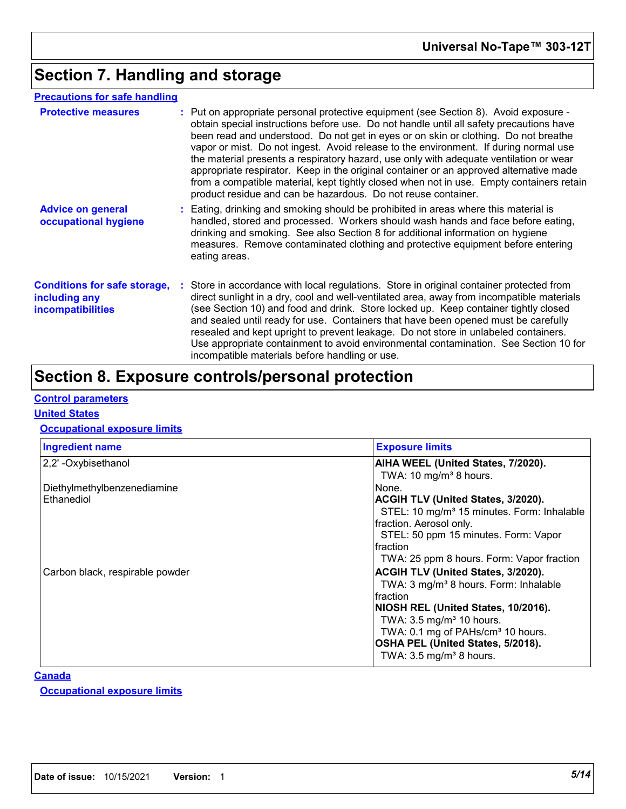## **Section 7. Handling and storage**

## **Precautions for safe handling**

| <b>Protective measures</b>                                                       | : Put on appropriate personal protective equipment (see Section 8). Avoid exposure -<br>obtain special instructions before use. Do not handle until all safety precautions have<br>been read and understood. Do not get in eyes or on skin or clothing. Do not breathe<br>vapor or mist. Do not ingest. Avoid release to the environment. If during normal use<br>the material presents a respiratory hazard, use only with adequate ventilation or wear<br>appropriate respirator. Keep in the original container or an approved alternative made<br>from a compatible material, kept tightly closed when not in use. Empty containers retain<br>product residue and can be hazardous. Do not reuse container. |  |
|----------------------------------------------------------------------------------|-----------------------------------------------------------------------------------------------------------------------------------------------------------------------------------------------------------------------------------------------------------------------------------------------------------------------------------------------------------------------------------------------------------------------------------------------------------------------------------------------------------------------------------------------------------------------------------------------------------------------------------------------------------------------------------------------------------------|--|
| <b>Advice on general</b><br>occupational hygiene                                 | : Eating, drinking and smoking should be prohibited in areas where this material is<br>handled, stored and processed. Workers should wash hands and face before eating,<br>drinking and smoking. See also Section 8 for additional information on hygiene<br>measures. Remove contaminated clothing and protective equipment before entering<br>eating areas.                                                                                                                                                                                                                                                                                                                                                   |  |
| <b>Conditions for safe storage,</b><br>including any<br><i>incompatibilities</i> | : Store in accordance with local regulations. Store in original container protected from<br>direct sunlight in a dry, cool and well-ventilated area, away from incompatible materials<br>(see Section 10) and food and drink. Store locked up. Keep container tightly closed<br>and sealed until ready for use. Containers that have been opened must be carefully<br>resealed and kept upright to prevent leakage. Do not store in unlabeled containers.<br>Use appropriate containment to avoid environmental contamination. See Section 10 for<br>incompatible materials before handling or use.                                                                                                             |  |

## **Section 8. Exposure controls/personal protection**

## **Control parameters**

### **United States**

## **Occupational exposure limits**

| <b>Exposure limits</b>                                 |
|--------------------------------------------------------|
| AIHA WEEL (United States, 7/2020).                     |
| TWA: 10 mg/m <sup>3</sup> 8 hours.                     |
| None.                                                  |
| ACGIH TLV (United States, 3/2020).                     |
| STEL: 10 mg/m <sup>3</sup> 15 minutes. Form: Inhalable |
| fraction. Aerosol only.                                |
| STEL: 50 ppm 15 minutes. Form: Vapor                   |
| fraction                                               |
| TWA: 25 ppm 8 hours. Form: Vapor fraction              |
| <b>ACGIH TLV (United States, 3/2020).</b>              |
| TWA: 3 mg/m <sup>3</sup> 8 hours. Form: Inhalable      |
| Ifraction                                              |
| NIOSH REL (United States, 10/2016).                    |
| TWA: $3.5 \text{ mg/m}^3$ 10 hours.                    |
| TWA: 0.1 mg of PAHs/cm <sup>3</sup> 10 hours.          |
| OSHA PEL (United States, 5/2018).                      |
| TWA: $3.5 \text{ mg/m}^3$ 8 hours.                     |
|                                                        |

## **Canada**

**Occupational exposure limits**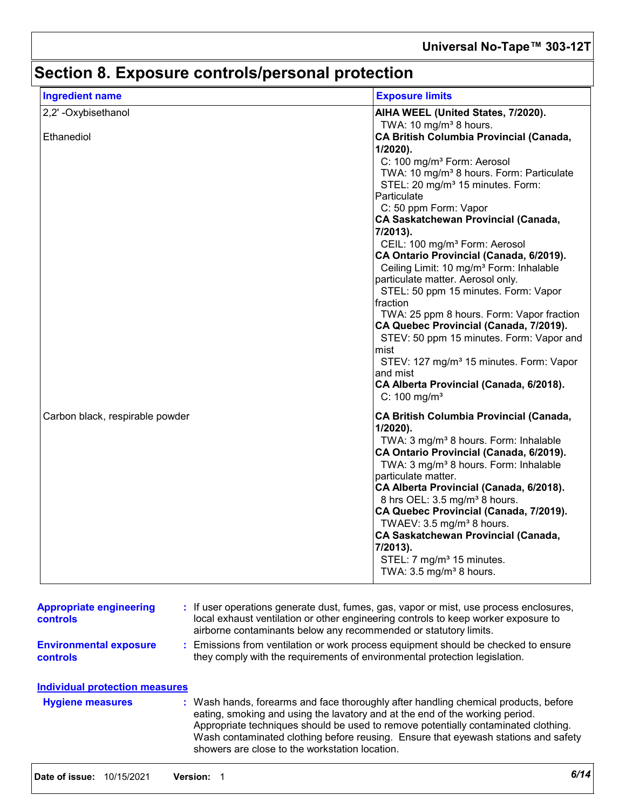# **Section 8. Exposure controls/personal protection**

| <b>Ingredient name</b>          | <b>Exposure limits</b>                                                                                                                                                                                                                                                                                                                                                                                                                                                                                                                                                                                                                                                                                                                                                                                                                        |
|---------------------------------|-----------------------------------------------------------------------------------------------------------------------------------------------------------------------------------------------------------------------------------------------------------------------------------------------------------------------------------------------------------------------------------------------------------------------------------------------------------------------------------------------------------------------------------------------------------------------------------------------------------------------------------------------------------------------------------------------------------------------------------------------------------------------------------------------------------------------------------------------|
| 2,2'-Oxybisethanol              | AIHA WEEL (United States, 7/2020).<br>TWA: 10 mg/m <sup>3</sup> 8 hours.                                                                                                                                                                                                                                                                                                                                                                                                                                                                                                                                                                                                                                                                                                                                                                      |
| Ethanediol                      | <b>CA British Columbia Provincial (Canada,</b><br>1/2020).<br>C: 100 mg/m <sup>3</sup> Form: Aerosol<br>TWA: 10 mg/m <sup>3</sup> 8 hours. Form: Particulate<br>STEL: 20 mg/m <sup>3</sup> 15 minutes. Form:<br>Particulate<br>C: 50 ppm Form: Vapor<br><b>CA Saskatchewan Provincial (Canada,</b><br>7/2013).<br>CEIL: 100 mg/m <sup>3</sup> Form: Aerosol<br>CA Ontario Provincial (Canada, 6/2019).<br>Ceiling Limit: 10 mg/m <sup>3</sup> Form: Inhalable<br>particulate matter. Aerosol only.<br>STEL: 50 ppm 15 minutes. Form: Vapor<br>fraction<br>TWA: 25 ppm 8 hours. Form: Vapor fraction<br>CA Quebec Provincial (Canada, 7/2019).<br>STEV: 50 ppm 15 minutes. Form: Vapor and<br>mist<br>STEV: 127 mg/m <sup>3</sup> 15 minutes. Form: Vapor<br>and mist<br>CA Alberta Provincial (Canada, 6/2018).<br>$C: 100$ mg/m <sup>3</sup> |
| Carbon black, respirable powder | <b>CA British Columbia Provincial (Canada,</b><br>$1/2020$ ).<br>TWA: 3 mg/m <sup>3</sup> 8 hours. Form: Inhalable<br>CA Ontario Provincial (Canada, 6/2019).<br>TWA: 3 mg/m <sup>3</sup> 8 hours. Form: Inhalable<br>particulate matter.<br>CA Alberta Provincial (Canada, 6/2018).<br>8 hrs OEL: 3.5 mg/m <sup>3</sup> 8 hours.<br>CA Quebec Provincial (Canada, 7/2019).<br>TWAEV: 3.5 mg/m <sup>3</sup> 8 hours.<br><b>CA Saskatchewan Provincial (Canada,</b><br>7/2013).<br>STEL: 7 mg/m <sup>3</sup> 15 minutes.<br>TWA: 3.5 mg/m <sup>3</sup> 8 hours.                                                                                                                                                                                                                                                                                |

| controls                                  | local exhaust ventilation or other engineering controls to keep worker exposure to<br>airborne contaminants below any recommended or statutory limits.                                                                                                                                                                                                                                            |
|-------------------------------------------|---------------------------------------------------------------------------------------------------------------------------------------------------------------------------------------------------------------------------------------------------------------------------------------------------------------------------------------------------------------------------------------------------|
| <b>Environmental exposure</b><br>controls | : Emissions from ventilation or work process equipment should be checked to ensure<br>they comply with the requirements of environmental protection legislation.                                                                                                                                                                                                                                  |
| Individual protection measures            |                                                                                                                                                                                                                                                                                                                                                                                                   |
| <b>Hygiene measures</b>                   | : Wash hands, forearms and face thoroughly after handling chemical products, before<br>eating, smoking and using the lavatory and at the end of the working period.<br>Appropriate techniques should be used to remove potentially contaminated clothing.<br>Wash contaminated clothing before reusing. Ensure that eyewash stations and safety<br>showers are close to the workstation location. |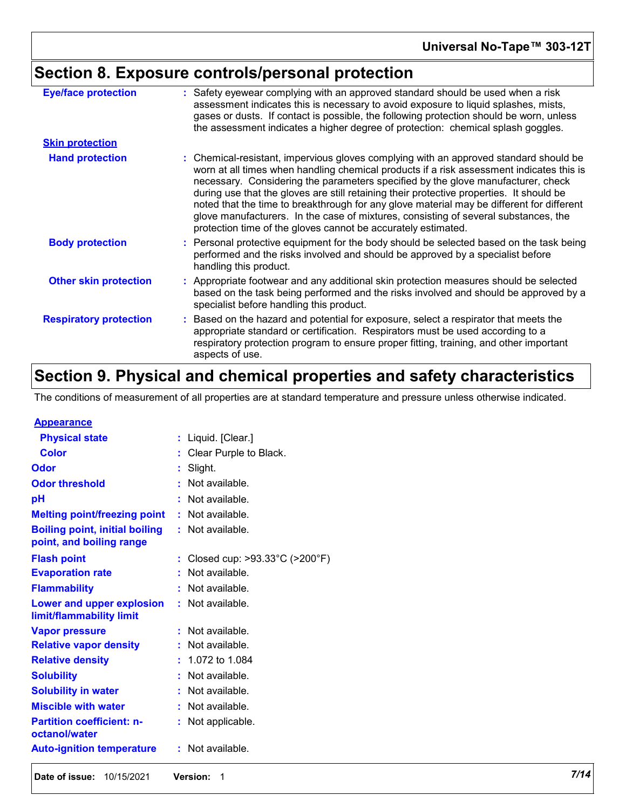# **Section 8. Exposure controls/personal protection**

| <b>Eye/face protection</b>    | : Safety eyewear complying with an approved standard should be used when a risk<br>assessment indicates this is necessary to avoid exposure to liquid splashes, mists,<br>gases or dusts. If contact is possible, the following protection should be worn, unless<br>the assessment indicates a higher degree of protection: chemical splash goggles.                                                                                                                                                                                                                                                                  |  |
|-------------------------------|------------------------------------------------------------------------------------------------------------------------------------------------------------------------------------------------------------------------------------------------------------------------------------------------------------------------------------------------------------------------------------------------------------------------------------------------------------------------------------------------------------------------------------------------------------------------------------------------------------------------|--|
| <b>Skin protection</b>        |                                                                                                                                                                                                                                                                                                                                                                                                                                                                                                                                                                                                                        |  |
| <b>Hand protection</b>        | : Chemical-resistant, impervious gloves complying with an approved standard should be<br>worn at all times when handling chemical products if a risk assessment indicates this is<br>necessary. Considering the parameters specified by the glove manufacturer, check<br>during use that the gloves are still retaining their protective properties. It should be<br>noted that the time to breakthrough for any glove material may be different for different<br>glove manufacturers. In the case of mixtures, consisting of several substances, the<br>protection time of the gloves cannot be accurately estimated. |  |
| <b>Body protection</b>        | : Personal protective equipment for the body should be selected based on the task being<br>performed and the risks involved and should be approved by a specialist before<br>handling this product.                                                                                                                                                                                                                                                                                                                                                                                                                    |  |
| <b>Other skin protection</b>  | : Appropriate footwear and any additional skin protection measures should be selected<br>based on the task being performed and the risks involved and should be approved by a<br>specialist before handling this product.                                                                                                                                                                                                                                                                                                                                                                                              |  |
| <b>Respiratory protection</b> | : Based on the hazard and potential for exposure, select a respirator that meets the<br>appropriate standard or certification. Respirators must be used according to a<br>respiratory protection program to ensure proper fitting, training, and other important<br>aspects of use.                                                                                                                                                                                                                                                                                                                                    |  |

## **Section 9. Physical and chemical properties and safety characteristics**

The conditions of measurement of all properties are at standard temperature and pressure unless otherwise indicated.

| <b>Appearance</b>                                 |    |                                                    |
|---------------------------------------------------|----|----------------------------------------------------|
| <b>Physical state</b>                             | t  | Liquid. [Clear.]                                   |
| Color                                             |    | Clear Purple to Black.                             |
| Odor                                              | t  | Slight.                                            |
| <b>Odor threshold</b>                             | t  | Not available.                                     |
| рH                                                |    | Not available.                                     |
| <b>Melting point/freezing point</b>               | t  | Not available.                                     |
| <b>Boiling point, initial boiling</b>             | t. | Not available.                                     |
| point, and boiling range                          |    |                                                    |
| <b>Flash point</b>                                | t  | Closed cup: $>93.33^{\circ}$ C ( $>200^{\circ}$ F) |
| <b>Evaporation rate</b>                           |    | Not available.                                     |
| <b>Flammability</b>                               |    | Not available.                                     |
| <b>Lower and upper explosion</b>                  | t. | Not available.                                     |
| limit/flammability limit                          |    |                                                    |
| <b>Vapor pressure</b>                             |    | Not available.                                     |
| <b>Relative vapor density</b>                     |    | Not available.                                     |
| <b>Relative density</b>                           |    | 1.072 to 1.084                                     |
| <b>Solubility</b>                                 |    | Not available.                                     |
| <b>Solubility in water</b>                        |    | Not available.                                     |
| <b>Miscible with water</b>                        | t  | Not available.                                     |
| <b>Partition coefficient: n-</b><br>octanol/water | t  | Not applicable.                                    |
| <b>Auto-ignition temperature</b>                  | t  | Not available.                                     |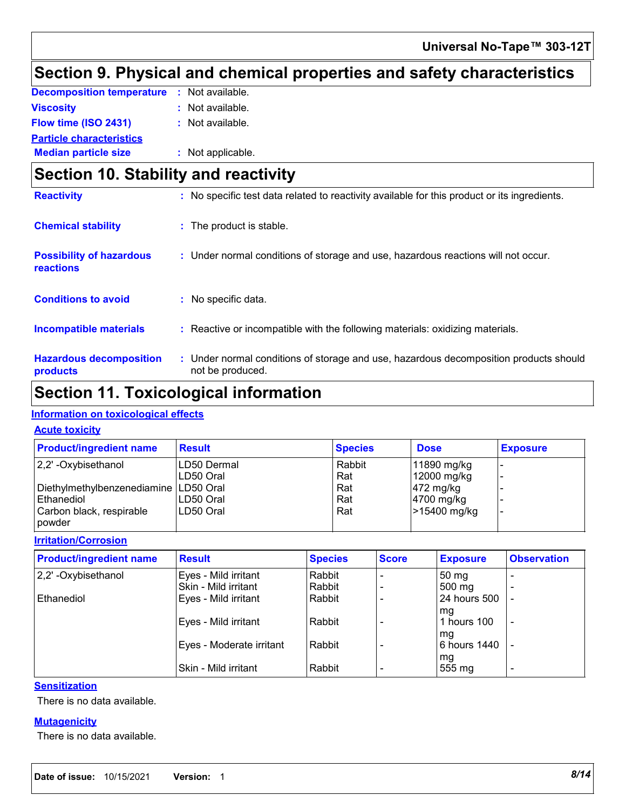## **Section 9. Physical and chemical properties and safety characteristics**

| <b>Decomposition temperature : Not available.</b> |                   |
|---------------------------------------------------|-------------------|
| Viscosity                                         | : Not available.  |
| Flow time (ISO 2431)                              | : Not available.  |
| <b>Particle characteristics</b>                   |                   |
| <b>Median particle size</b>                       | : Not applicable. |

## **Section 10. Stability and reactivity**

| <b>Reactivity</b>                            | : No specific test data related to reactivity available for this product or its ingredients.              |  |
|----------------------------------------------|-----------------------------------------------------------------------------------------------------------|--|
| <b>Chemical stability</b>                    | : The product is stable.                                                                                  |  |
| <b>Possibility of hazardous</b><br>reactions | : Under normal conditions of storage and use, hazardous reactions will not occur.                         |  |
| <b>Conditions to avoid</b>                   | No specific data.                                                                                         |  |
| <b>Incompatible materials</b>                | : Reactive or incompatible with the following materials: oxidizing materials.                             |  |
| <b>Hazardous decomposition</b><br>products   | : Under normal conditions of storage and use, hazardous decomposition products should<br>not be produced. |  |

## **Section 11. Toxicological information**

## **Information on toxicological effects**

### **Acute toxicity**

| <b>Product/ingredient name</b>          | <b>Result</b> | <b>Species</b> | <b>Dose</b>           | <b>Exposure</b> |
|-----------------------------------------|---------------|----------------|-----------------------|-----------------|
| $ 2,2$ ' -Oxybisethanol                 | LD50 Dermal   | Rabbit         | 11890 mg/kg           |                 |
|                                         | LD50 Oral     | Rat            | 12000 mg/kg           |                 |
| Diethylmethylbenzenediamine   LD50 Oral |               | Rat            | $ 472 \text{ mg/kg} $ |                 |
| l Ethanediol                            | LD50 Oral     | Rat            | 4700 mg/kg            |                 |
| Carbon black, respirable<br>powder      | LD50 Oral     | Rat            | >15400 mg/kg          |                 |

#### **Irritation/Corrosion**

| <b>Product/ingredient name</b> | <b>Result</b>            | <b>Species</b> | <b>Score</b> | <b>Exposure</b>  | <b>Observation</b>       |
|--------------------------------|--------------------------|----------------|--------------|------------------|--------------------------|
| 2,2'-Oxybisethanol             | Eyes - Mild irritant     | Rabbit         |              | 50 <sub>mg</sub> |                          |
|                                | Skin - Mild irritant     | Rabbit         |              | 500 mg           |                          |
| Ethanediol                     | Eyes - Mild irritant     | Rabbit         |              | 24 hours 500     |                          |
|                                |                          |                |              | mg               |                          |
|                                | Eyes - Mild irritant     | Rabbit         |              | hours 100        | $\overline{\phantom{a}}$ |
|                                |                          |                |              | mg               |                          |
|                                | Eyes - Moderate irritant | Rabbit         |              | 6 hours 1440     | $\overline{\phantom{a}}$ |
|                                |                          |                |              | mg               |                          |
|                                | Skin - Mild irritant     | Rabbit         |              | 555 mg           | $\overline{\phantom{0}}$ |

### **Sensitization**

There is no data available.

#### **Mutagenicity**

There is no data available.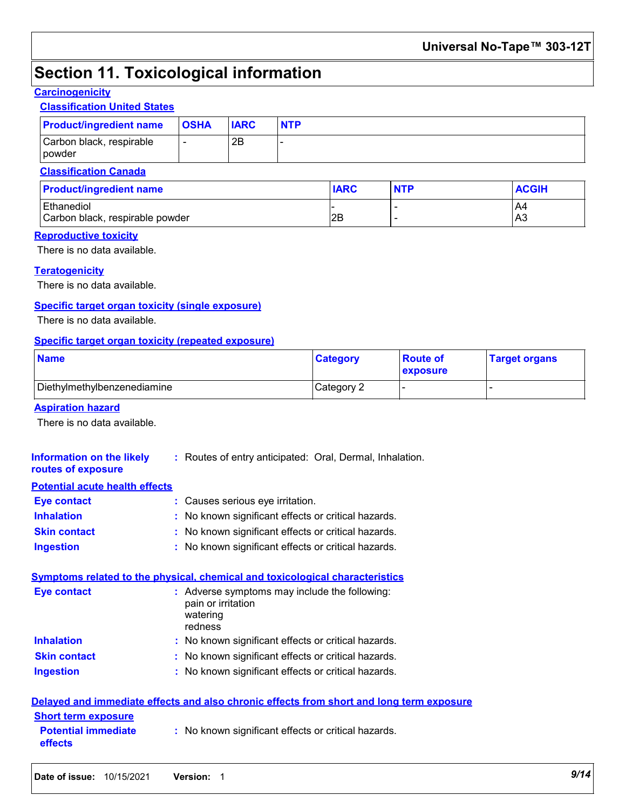## **Section 11. Toxicological information**

## **Carcinogenicity**

## **Classification United States**

| <b>Product/ingredient name</b>                | <b>OSHA</b>              | <b>IARC</b> | <b>NTP</b> |             |            |              |
|-----------------------------------------------|--------------------------|-------------|------------|-------------|------------|--------------|
| Carbon black, respirable<br>powder            | $\overline{\phantom{a}}$ | 2B          |            |             |            |              |
| <b>Classification Canada</b>                  |                          |             |            |             |            |              |
| <b>Product/ingredient name</b>                |                          |             |            | <b>IARC</b> | <b>NTP</b> | <b>ACGIH</b> |
| Ethanediol<br>Carbon black, respirable powder |                          |             |            | l2B         | -<br>-     | A4<br>IA3    |

#### **Reproductive toxicity**

There is no data available.

### **Teratogenicity**

There is no data available.

### **Specific target organ toxicity (single exposure)**

There is no data available.

#### **Specific target organ toxicity (repeated exposure)**

| <b>Name</b>                 | <b>Category</b> | <b>Route of</b><br>exposure | <b>Target organs</b> |
|-----------------------------|-----------------|-----------------------------|----------------------|
| Diethylmethylbenzenediamine | Category 2      |                             |                      |

#### **Aspiration hazard**

There is no data available.

| Information on the likely<br>routes of exposure                     | : Routes of entry anticipated: Oral, Dermal, Inhalation.                                   |
|---------------------------------------------------------------------|--------------------------------------------------------------------------------------------|
| <b>Potential acute health effects</b>                               |                                                                                            |
| <b>Eye contact</b>                                                  | : Causes serious eye irritation.                                                           |
| <b>Inhalation</b>                                                   | : No known significant effects or critical hazards.                                        |
| <b>Skin contact</b>                                                 | : No known significant effects or critical hazards.                                        |
| <b>Ingestion</b>                                                    | : No known significant effects or critical hazards.                                        |
|                                                                     | Symptoms related to the physical, chemical and toxicological characteristics               |
| <b>Eye contact</b>                                                  | : Adverse symptoms may include the following:<br>pain or irritation<br>watering<br>redness |
| <b>Inhalation</b>                                                   | : No known significant effects or critical hazards.                                        |
| <b>Skin contact</b>                                                 | : No known significant effects or critical hazards.                                        |
| <b>Ingestion</b>                                                    | : No known significant effects or critical hazards.                                        |
|                                                                     | Delayed and immediate effects and also chronic effects from short and long term exposure   |
| <b>Short term exposure</b><br><b>Potential immediate</b><br>effects | : No known significant effects or critical hazards.                                        |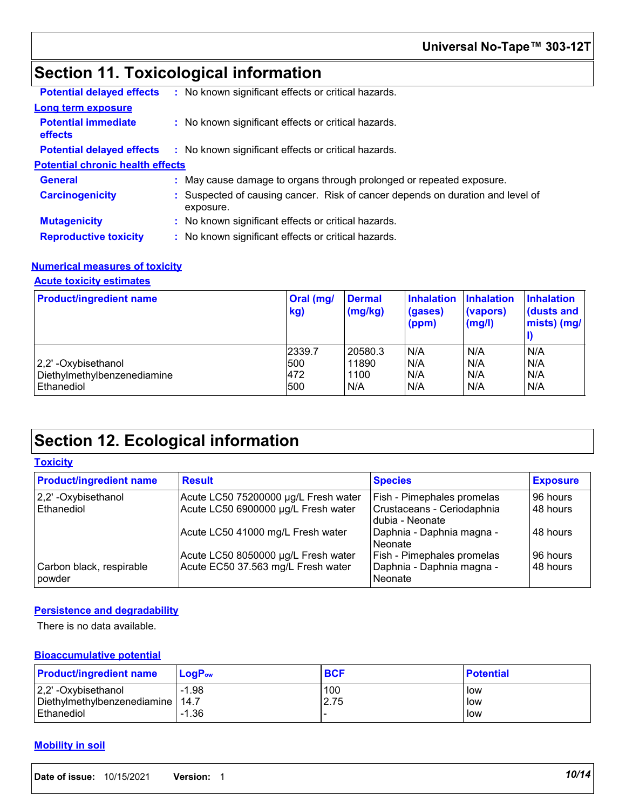## **Section 11. Toxicological information**

| <b>Potential delayed effects</b>             | : No known significant effects or critical hazards.                                         |
|----------------------------------------------|---------------------------------------------------------------------------------------------|
| <b>Long term exposure</b>                    |                                                                                             |
| <b>Potential immediate</b><br><b>effects</b> | : No known significant effects or critical hazards.                                         |
| <b>Potential delayed effects</b>             | : No known significant effects or critical hazards.                                         |
| <b>Potential chronic health effects</b>      |                                                                                             |
| <b>General</b>                               | : May cause damage to organs through prolonged or repeated exposure.                        |
| <b>Carcinogenicity</b>                       | : Suspected of causing cancer. Risk of cancer depends on duration and level of<br>exposure. |
| <b>Mutagenicity</b>                          | : No known significant effects or critical hazards.                                         |
| <b>Reproductive toxicity</b>                 | : No known significant effects or critical hazards.                                         |
|                                              |                                                                                             |

## **Numerical measures of toxicity**

## **Acute toxicity estimates**

| <b>Product/ingredient name</b>                                  | Oral (mg/<br>kg)            | <b>Dermal</b><br>(mg/kg)        | <b>Inhalation</b><br>(gases)<br>(ppm) | <b>Inhalation</b><br>(vapors)<br>(mg/l) | <b>Inhalation</b><br>dusts and<br>mists) (mg/ |
|-----------------------------------------------------------------|-----------------------------|---------------------------------|---------------------------------------|-----------------------------------------|-----------------------------------------------|
| 2,2'-Oxybisethanol<br>Diethylmethylbenzenediamine<br>Ethanediol | 2339.7<br>500<br>472<br>500 | 20580.3<br>11890<br>1100<br>N/A | N/A<br>N/A<br>N/A<br>N/A              | N/A<br>N/A<br>N/A<br>N/A                | N/A<br>N/A<br>N/A<br>N/A                      |

## **Section 12. Ecological information**

### **Toxicity**

| <b>Product/ingredient name</b>     | <b>Result</b>                        | <b>Species</b>                                | <b>Exposure</b> |
|------------------------------------|--------------------------------------|-----------------------------------------------|-----------------|
| 2,2' - Oxybisethanol               | Acute LC50 75200000 µg/L Fresh water | Fish - Pimephales promelas                    | 96 hours        |
| Ethanediol                         | Acute LC50 6900000 µg/L Fresh water  | Crustaceans - Ceriodaphnia<br>dubia - Neonate | 48 hours        |
|                                    | Acute LC50 41000 mg/L Fresh water    | Daphnia - Daphnia magna -<br>l Neonate        | 48 hours        |
|                                    | Acute LC50 8050000 µg/L Fresh water  | <b>Fish - Pimephales promelas</b>             | 96 hours        |
| Carbon black, respirable<br>powder | Acute EC50 37.563 mg/L Fresh water   | Daphnia - Daphnia magna -<br>l Neonate        | 48 hours        |

### **Persistence and degradability**

There is no data available.

### **Bioaccumulative potential**

| <b>Product/ingredient name</b>     | $LoaPow$ | <b>BCF</b> | <b>Potential</b> |
|------------------------------------|----------|------------|------------------|
| $ 2,2$ ' -Oxybisethanol            | $-1.98$  | 100        | low              |
| Diethylmethylbenzenediamine   14.7 |          | 2.75       | low              |
| <b>Ethanediol</b>                  | $-1.36$  |            | low              |

### **Mobility in soil**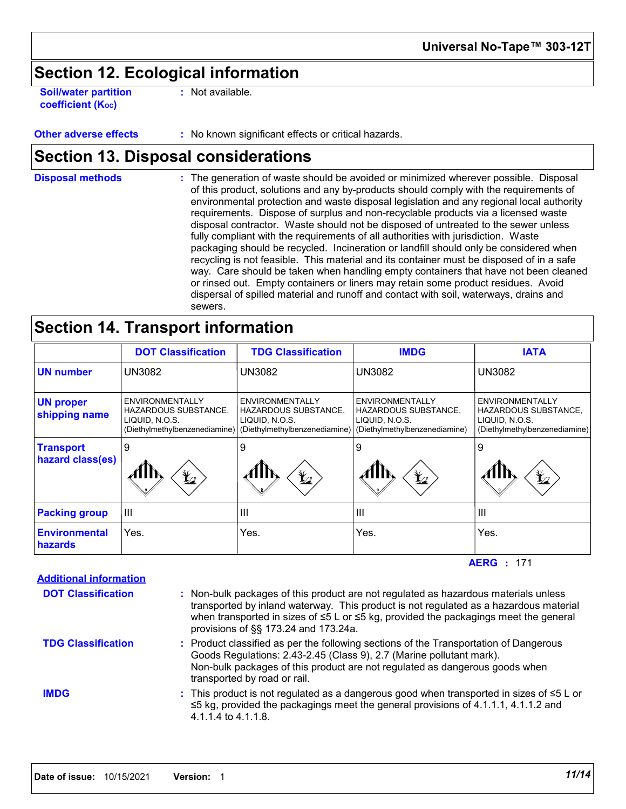## **Section 12. Ecological information**

**Soil/water partition coefficient (Koc)** 

**:** Not available.

**Other adverse effects** : No known significant effects or critical hazards.

## **Section 13. Disposal considerations**

The generation of waste should be avoided or minimized wherever possible. Disposal of this product, solutions and any by-products should comply with the requirements of environmental protection and waste disposal legislation and any regional local authority requirements. Dispose of surplus and non-recyclable products via a licensed waste disposal contractor. Waste should not be disposed of untreated to the sewer unless fully compliant with the requirements of all authorities with jurisdiction. Waste packaging should be recycled. Incineration or landfill should only be considered when recycling is not feasible. This material and its container must be disposed of in a safe way. Care should be taken when handling empty containers that have not been cleaned or rinsed out. Empty containers or liners may retain some product residues. Avoid dispersal of spilled material and runoff and contact with soil, waterways, drains and sewers. **Disposal methods :**

## **Section 14. Transport information**

|                                      | <b>DOT Classification</b>                                                                  | <b>TDG Classification</b>                                                                         | <b>IMDG</b>                                                                                       | <b>IATA</b>                                                                                              |
|--------------------------------------|--------------------------------------------------------------------------------------------|---------------------------------------------------------------------------------------------------|---------------------------------------------------------------------------------------------------|----------------------------------------------------------------------------------------------------------|
| <b>UN number</b>                     | <b>UN3082</b>                                                                              | UN3082                                                                                            | <b>UN3082</b>                                                                                     | <b>UN3082</b>                                                                                            |
| <b>UN proper</b><br>shipping name    | ENVIRONMENTALLY<br>HAZARDOUS SUBSTANCE,<br>LIQUID, N.O.S.<br>(Diethylmethylbenzenediamine) | ENVIRONMENTALLY<br><b>HAZARDOUS SUBSTANCE.</b><br>LIQUID, N.O.S.<br>(Diethylmethylbenzenediamine) | ENVIRONMENTALLY<br><b>HAZARDOUS SUBSTANCE,</b><br>LIQUID, N.O.S.<br>(Diethylmethylbenzenediamine) | <b>ENVIRONMENTALLY</b><br><b>HAZARDOUS SUBSTANCE,</b><br>LIQUID, N.O.S.<br>(Diethylmethylbenzenediamine) |
| <b>Transport</b><br>hazard class(es) | 9<br>$\bigstar$                                                                            | 9<br>$\bigstar$                                                                                   | 9<br>$\bigstar$                                                                                   | 9<br>$\bigstar$                                                                                          |
| <b>Packing group</b>                 | $\mathbf{III}$                                                                             | Ш                                                                                                 | $\mathbf{III}$                                                                                    | $\mathbf{III}$                                                                                           |
| <b>Environmental</b><br>hazards      | Yes.                                                                                       | Yes.                                                                                              | Yes.                                                                                              | Yes.                                                                                                     |

171 **AERG :**

| : Non-bulk packages of this product are not regulated as hazardous materials unless<br>transported by inland waterway. This product is not regulated as a hazardous material<br>when transported in sizes of $\leq 5$ L or $\leq 5$ kg, provided the packagings meet the general<br>provisions of §§ 173.24 and 173.24a. |
|--------------------------------------------------------------------------------------------------------------------------------------------------------------------------------------------------------------------------------------------------------------------------------------------------------------------------|
| : Product classified as per the following sections of the Transportation of Dangerous<br>Goods Regulations: 2.43-2.45 (Class 9), 2.7 (Marine pollutant mark).<br>Non-bulk packages of this product are not regulated as dangerous goods when<br>transported by road or rail.                                             |
| : This product is not regulated as a dangerous good when transported in sizes of $\leq 5$ L or<br>$\leq$ 5 kg, provided the packagings meet the general provisions of 4.1.1.1, 4.1.1.2 and<br>4.1.1.4 to 4.1.1.8.                                                                                                        |
|                                                                                                                                                                                                                                                                                                                          |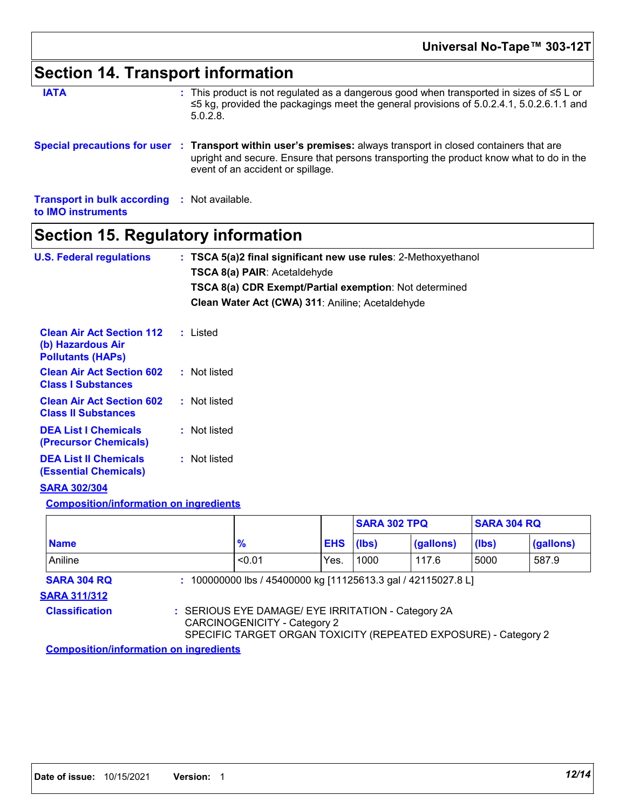# **Section 14. Transport information**

| <b>IATA</b>                                                               | : This product is not regulated as a dangerous good when transported in sizes of $\leq 5$ L or<br>$\leq$ 5 kg, provided the packagings meet the general provisions of 5.0.2.4.1, 5.0.2.6.1.1 and<br>5.0.2.8                                     |
|---------------------------------------------------------------------------|-------------------------------------------------------------------------------------------------------------------------------------------------------------------------------------------------------------------------------------------------|
|                                                                           | Special precautions for user : Transport within user's premises: always transport in closed containers that are<br>upright and secure. Ensure that persons transporting the product know what to do in the<br>event of an accident or spillage. |
| <b>Transport in bulk according : Not available.</b><br>to IMO instruments |                                                                                                                                                                                                                                                 |

## **Section 15. Regulatory information**

| <b>U.S. Federal regulations</b>                                                   | : TSCA 5(a)2 final significant new use rules: 2-Methoxyethanol<br>TSCA 8(a) PAIR: Acetaldehyde |  |
|-----------------------------------------------------------------------------------|------------------------------------------------------------------------------------------------|--|
|                                                                                   | TSCA 8(a) CDR Exempt/Partial exemption: Not determined                                         |  |
|                                                                                   | Clean Water Act (CWA) 311: Aniline; Acetaldehyde                                               |  |
| <b>Clean Air Act Section 112</b><br>(b) Hazardous Air<br><b>Pollutants (HAPs)</b> | : Listed                                                                                       |  |
| <b>Clean Air Act Section 602</b><br><b>Class I Substances</b>                     | : Not listed                                                                                   |  |
| <b>Clean Air Act Section 602</b><br><b>Class II Substances</b>                    | : Not listed                                                                                   |  |
| <b>DEA List I Chemicals</b><br>(Precursor Chemicals)                              | : Not listed                                                                                   |  |
| <b>DEA List II Chemicals</b><br><b>(Essential Chemicals)</b>                      | : Not listed                                                                                   |  |
| <b>SARA 302/304</b>                                                               |                                                                                                |  |
| <b>Composition/information on ingredients</b>                                     |                                                                                                |  |
|                                                                                   | <b>SARA 302 TDO</b><br><b>SARA 304 RO</b>                                                      |  |

|                                               |                                                                                                                                                       |            | <b>SARA 302 TPQ</b> |           | <b>SARA 304 RQ</b> |           |
|-----------------------------------------------|-------------------------------------------------------------------------------------------------------------------------------------------------------|------------|---------------------|-----------|--------------------|-----------|
| <b>Name</b>                                   | $\frac{9}{6}$                                                                                                                                         | <b>EHS</b> | (lbs)               | (gallons) | (lbs)              | (gallons) |
| Aniline                                       | < 0.01                                                                                                                                                | Yes.       | 1000                | 117.6     | 5000               | 587.9     |
| <b>SARA 304 RQ</b>                            | : 100000000 lbs / 45400000 kg [11125613.3 gal / 42115027.8 L]                                                                                         |            |                     |           |                    |           |
| <b>SARA 311/312</b>                           |                                                                                                                                                       |            |                     |           |                    |           |
| <b>Classification</b>                         | : SERIOUS EYE DAMAGE/ EYE IRRITATION - Category 2A<br>CARCINOGENICITY - Category 2<br>SPECIFIC TARGET ORGAN TOXICITY (REPEATED EXPOSURE) - Category 2 |            |                     |           |                    |           |
| <b>Composition/information on ingredients</b> |                                                                                                                                                       |            |                     |           |                    |           |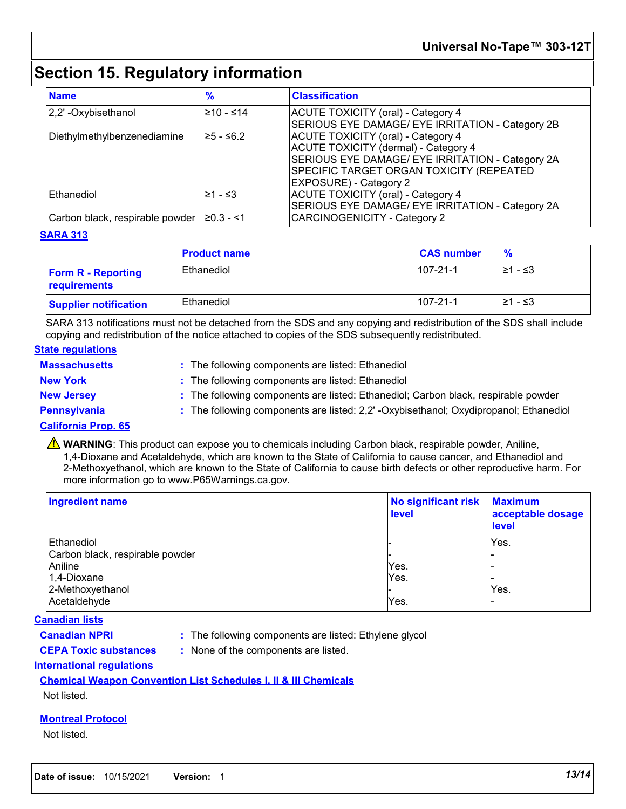## **Section 15. Regulatory information**

| <b>Name</b>                     | %              | <b>Classification</b>                                                                                                                                                                                                     |
|---------------------------------|----------------|---------------------------------------------------------------------------------------------------------------------------------------------------------------------------------------------------------------------------|
| 2,2' - Oxybisethanol            | $≥10 - ≤14$    | ACUTE TOXICITY (oral) - Category 4<br>SERIOUS EYE DAMAGE/ EYE IRRITATION - Category 2B                                                                                                                                    |
| Diethylmethylbenzenediamine     | $≥5 - ≤6.2$    | <b>ACUTE TOXICITY (oral) - Category 4</b><br><b>ACUTE TOXICITY (dermal) - Category 4</b><br>SERIOUS EYE DAMAGE/ EYE IRRITATION - Category 2A<br>SPECIFIC TARGET ORGAN TOXICITY (REPEATED<br><b>EXPOSURE) - Category 2</b> |
| Ethanediol                      | ≥1 - ≤3        | <b>ACUTE TOXICITY (oral) - Category 4</b><br>SERIOUS EYE DAMAGE/ EYE IRRITATION - Category 2A                                                                                                                             |
| Carbon black, respirable powder | $\geq 0.3 - 1$ | <b>CARCINOGENICITY - Category 2</b>                                                                                                                                                                                       |

### **SARA 313**

|                                           | <b>Product name</b> | <b>CAS number</b> | $\frac{9}{6}$ |
|-------------------------------------------|---------------------|-------------------|---------------|
| <b>Form R - Reporting</b><br>requirements | Ethanediol          | $107 - 21 - 1$    | 21 - ≤3       |
| <b>Supplier notification</b>              | Ethanediol          | $107 - 21 - 1$    | 21 - ≤3       |

SARA 313 notifications must not be detached from the SDS and any copying and redistribution of the SDS shall include copying and redistribution of the notice attached to copies of the SDS subsequently redistributed.

### **State regulations**

- **Massachusetts :** The following components are listed: Ethanediol **New York :** The following components are listed: Ethanediol **New Jersey :** The following components are listed: Ethanediol; Carbon black, respirable powder **Pennsylvania 1993 :** The following components are listed: 2,2' -Oxybisethanol; Oxydipropanol; Ethanediol
	-

### **California Prop. 65**

**A** WARNING: This product can expose you to chemicals including Carbon black, respirable powder, Aniline, 1,4-Dioxane and Acetaldehyde, which are known to the State of California to cause cancer, and Ethanediol and 2-Methoxyethanol, which are known to the State of California to cause birth defects or other reproductive harm. For more information go to www.P65Warnings.ca.gov.

| <b>Ingredient name</b>          | No significant risk<br><b>level</b> | <b>Maximum</b><br>acceptable dosage<br><b>level</b> |
|---------------------------------|-------------------------------------|-----------------------------------------------------|
| Ethanediol                      |                                     | Yes.                                                |
| Carbon black, respirable powder |                                     |                                                     |
| Aniline                         | Yes.                                |                                                     |
| 1,4-Dioxane                     | Yes.                                |                                                     |
| 2-Methoxyethanol                |                                     | Yes.                                                |
| Acetaldehyde                    | Yes.                                |                                                     |

### **Canadian lists**

- 
- **Canadian NPRI :** The following components are listed: Ethylene glycol
- 
- **CEPA Toxic substances :** None of the components are listed.

### **International regulations**

### **Chemical Weapon Convention List Schedules I, II & III Chemicals**

### Not listed.

### **Montreal Protocol**

### Not listed.